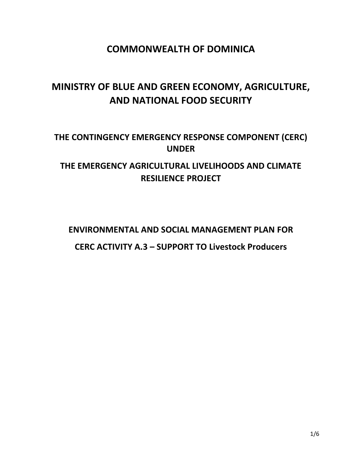## **COMMONWEALTH OF DOMINICA**

# **MINISTRY OF BLUE AND GREEN ECONOMY, AGRICULTURE, AND NATIONAL FOOD SECURITY**

## **THE CONTINGENCY EMERGENCY RESPONSE COMPONENT (CERC) UNDER**

## **THE EMERGENCY AGRICULTURAL LIVELIHOODS AND CLIMATE RESILIENCE PROJECT**

### **ENVIRONMENTAL AND SOCIAL MANAGEMENT PLAN FOR**

### **CERC ACTIVITY A.3 – SUPPORT TO Livestock Producers**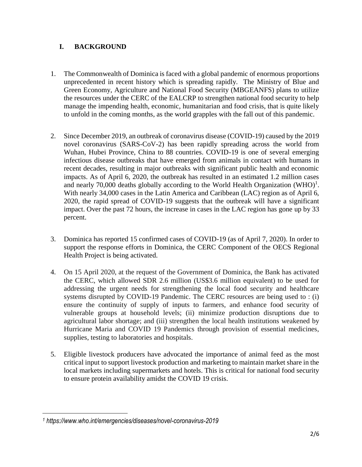#### **I. BACKGROUND**

- 1. The Commonwealth of Dominica is faced with a global pandemic of enormous proportions unprecedented in recent history which is spreading rapidly. The Ministry of Blue and Green Economy, Agriculture and National Food Security (MBGEANFS) plans to utilize the resources under the CERC of the EALCRP to strengthen national food security to help manage the impending health, economic, humanitarian and food crisis, that is quite likely to unfold in the coming months, as the world grapples with the fall out of this pandemic.
- 2. Since December 2019, an outbreak of coronavirus disease (COVID-19) caused by the 2019 novel coronavirus (SARS-CoV-2) has been rapidly spreading across the world from Wuhan, Hubei Province, China to 88 countries. COVID-19 is one of several emerging infectious disease outbreaks that have emerged from animals in contact with humans in recent decades, resulting in major outbreaks with significant public health and economic impacts. As of April 6, 2020, the outbreak has resulted in an estimated 1.2 million cases and nearly 70,000 deaths globally according to the World Health Organization (WHO)<sup>1</sup>. With nearly 34,000 cases in the Latin America and Caribbean (LAC) region as of April 6, 2020, the rapid spread of COVID-19 suggests that the outbreak will have a significant impact. Over the past 72 hours, the increase in cases in the LAC region has gone up by 33 percent.
- 3. Dominica has reported 15 confirmed cases of COVID-19 (as of April 7, 2020). In order to support the response efforts in Dominica, the CERC Component of the OECS Regional Health Project is being activated.
- 4. On 15 April 2020, at the request of the Government of Dominica, the Bank has activated the CERC, which allowed SDR 2.6 million (US\$3.6 million equivalent) to be used for addressing the urgent needs for strengthening the local food security and healthcare systems disrupted by COVID-19 Pandemic. The CERC resources are being used to : (i) ensure the continuity of supply of inputs to farmers, and enhance food security of vulnerable groups at household levels; (ii) minimize production disruptions due to agricultural labor shortage; and (iii) strengthen the local health institutions weakened by Hurricane Maria and COVID 19 Pandemics through provision of essential medicines, supplies, testing to laboratories and hospitals.
- 5. Eligible livestock producers have advocated the importance of animal feed as the most critical input to support livestock production and marketing to maintain market share in the local markets including supermarkets and hotels. This is critical for national food security to ensure protein availability amidst the COVID 19 crisis.

 $\overline{\phantom{a}}$ 

*<sup>1</sup> https://www.who.int/emergencies/diseases/novel-coronavirus-2019*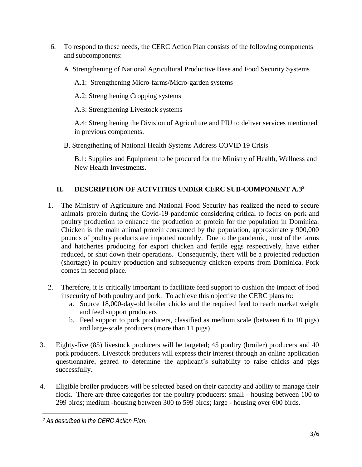- 6. To respond to these needs, the CERC Action Plan consists of the following components and subcomponents:
	- A. Strengthening of National Agricultural Productive Base and Food Security Systems
		- A.1: Strengthening Micro-farms/Micro-garden systems
		- A.2: Strengthening Cropping systems
		- A.3: Strengthening Livestock systems

A.4: Strengthening the Division of Agriculture and PIU to deliver services mentioned in previous components.

B. Strengthening of National Health Systems Address COVID 19 Crisis

B.1: Supplies and Equipment to be procured for the Ministry of Health, Wellness and New Health Investments.

### **II. DESCRIPTION OF ACTVITIES UNDER CERC SUB-COMPONENT A.3<sup>2</sup>**

- 1. The Ministry of Agriculture and National Food Security has realized the need to secure animals' protein during the Covid-19 pandemic considering critical to focus on pork and poultry production to enhance the production of protein for the population in Dominica. Chicken is the main animal protein consumed by the population, approximately 900,000 pounds of poultry products are imported monthly. Due to the pandemic, most of the farms and hatcheries producing for export chicken and fertile eggs respectively, have either reduced, or shut down their operations. Consequently, there will be a projected reduction (shortage) in poultry production and subsequently chicken exports from Dominica. Pork comes in second place.
- 2. Therefore, it is critically important to facilitate feed support to cushion the impact of food insecurity of both poultry and pork. To achieve this objective the CERC plans to:
	- a. Source 18,000-day-old broiler chicks and the required feed to reach market weight and feed support producers
	- b. Feed support to pork producers, classified as medium scale (between 6 to 10 pigs) and large-scale producers (more than 11 pigs)
- 3. Eighty-five (85) livestock producers will be targeted; 45 poultry (broiler) producers and 40 pork producers. Livestock producers will express their interest through an online application questionnaire, geared to determine the applicant's suitability to raise chicks and pigs successfully.
- 4. Eligible broiler producers will be selected based on their capacity and ability to manage their flock. There are three categories for the poultry producers: small - housing between 100 to 299 birds; medium -housing between 300 to 599 birds; large - housing over 600 birds.

 $\overline{\phantom{a}}$ 

*<sup>2</sup> As described in the CERC Action Plan.*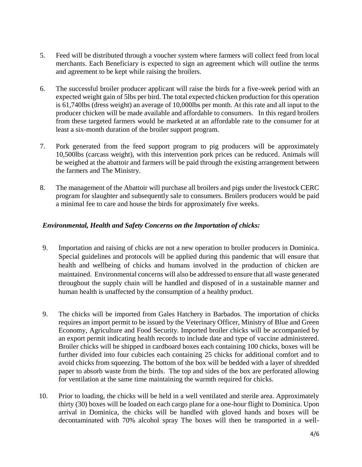- 5. Feed will be distributed through a voucher system where farmers will collect feed from local merchants. Each Beneficiary is expected to sign an agreement which will outline the terms and agreement to be kept while raising the broilers.
- 6. The successful broiler producer applicant will raise the birds for a five-week period with an expected weight gain of 5lbs per bird. The total expected chicken production for this operation is 61,740lbs (dress weight) an average of 10,000lbs per month. At this rate and all input to the producer chicken will be made available and affordable to consumers. In this regard broilers from these targeted farmers would be marketed at an affordable rate to the consumer for at least a six-month duration of the broiler support program.
- 7. Pork generated from the feed support program to pig producers will be approximately 10,500lbs (carcass weight), with this intervention pork prices can be reduced. Animals will be weighed at the abattoir and farmers will be paid through the existing arrangement between the farmers and The Ministry.
- 8. The management of the Abattoir will purchase all broilers and pigs under the livestock CERC program for slaughter and subsequently sale to consumers. Broilers producers would be paid a minimal fee to care and house the birds for approximately five weeks.

#### *Environmental, Health and Safety Concerns on the Importation of chicks:*

- 9. Importation and raising of chicks are not a new operation to broiler producers in Dominica. Special guidelines and protocols will be applied during this pandemic that will ensure that health and wellbeing of chicks and humans involved in the production of chicken are maintained. Environmental concerns will also be addressed to ensure that all waste generated throughout the supply chain will be handled and disposed of in a sustainable manner and human health is unaffected by the consumption of a healthy product.
- 9. The chicks will be imported from Gales Hatchery in Barbados. The importation of chicks requires an import permit to be issued by the Veterinary Officer, Ministry of Blue and Green Economy, Agriculture and Food Security. Imported broiler chicks will be accompanied by an export permit indicating health records to include date and type of vaccine administered. Broiler chicks will be shipped in cardboard boxes each containing 100 chicks, boxes will be further divided into four cubicles each containing 25 chicks for additional comfort and to avoid chicks from squeezing. The bottom of the box will be bedded with a layer of shredded paper to absorb waste from the birds. The top and sides of the box are perforated allowing for ventilation at the same time maintaining the warmth required for chicks.
- 10. Prior to loading, the chicks will be held in a well ventilated and sterile area. Approximately thirty (30) boxes will be loaded on each cargo plane for a one-hour flight to Dominica. Upon arrival in Dominica, the chicks will be handled with gloved hands and boxes will be decontaminated with 70% alcohol spray The boxes will then be transported in a well-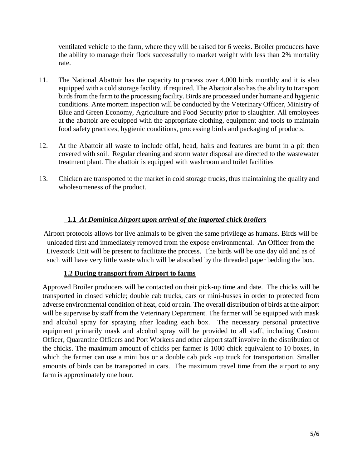ventilated vehicle to the farm, where they will be raised for 6 weeks. Broiler producers have the ability to manage their flock successfully to market weight with less than 2% mortality rate.

- 11. The National Abattoir has the capacity to process over 4,000 birds monthly and it is also equipped with a cold storage facility, if required. The Abattoir also has the ability to transport birds from the farm to the processing facility. Birds are processed under humane and hygienic conditions. Ante mortem inspection will be conducted by the Veterinary Officer, Ministry of Blue and Green Economy, Agriculture and Food Security prior to slaughter. All employees at the abattoir are equipped with the appropriate clothing, equipment and tools to maintain food safety practices, hygienic conditions, processing birds and packaging of products.
- 12. At the Abattoir all waste to include offal, head, hairs and features are burnt in a pit then covered with soil. Regular cleaning and storm water disposal are directed to the wastewater treatment plant. The abattoir is equipped with washroom and toilet facilities
- 13. Chicken are transported to the market in cold storage trucks, thus maintaining the quality and wholesomeness of the product.

#### **1.1** *At Dominica Airport upon arrival of the imported chick broilers*

Airport protocols allows for live animals to be given the same privilege as humans. Birds will be unloaded first and immediately removed from the expose environmental. An Officer from the Livestock Unit will be present to facilitate the process. The birds will be one day old and as of such will have very little waste which will be absorbed by the threaded paper bedding the box.

#### **1.2 During transport from Airport to farms**

Approved Broiler producers will be contacted on their pick-up time and date. The chicks will be transported in closed vehicle; double cab trucks, cars or mini-busses in order to protected from adverse environmental condition of heat, cold or rain. The overall distribution of birds at the airport will be supervise by staff from the Veterinary Department. The farmer will be equipped with mask and alcohol spray for spraying after loading each box. The necessary personal protective equipment primarily mask and alcohol spray will be provided to all staff, including Custom Officer, Quarantine Officers and Port Workers and other airport staff involve in the distribution of the chicks. The maximum amount of chicks per farmer is 1000 chick equivalent to 10 boxes, in which the farmer can use a mini bus or a double cab pick -up truck for transportation. Smaller amounts of birds can be transported in cars. The maximum travel time from the airport to any farm is approximately one hour.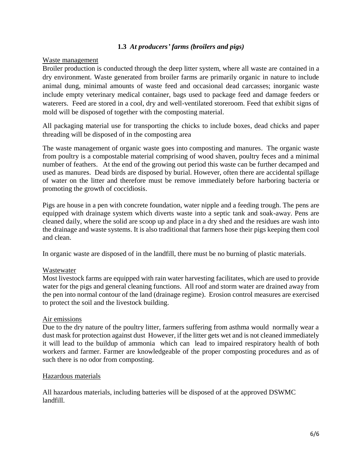#### **1.3** *At producers' farms (broilers and pigs)*

#### Waste management

Broiler production is conducted through the deep litter system, where all waste are contained in a dry environment. Waste generated from broiler farms are primarily organic in nature to include animal dung, minimal amounts of waste feed and occasional dead carcasses; inorganic waste include empty veterinary medical container, bags used to package feed and damage feeders or waterers. Feed are stored in a cool, dry and well-ventilated storeroom. Feed that exhibit signs of mold will be disposed of together with the composting material.

All packaging material use for transporting the chicks to include boxes, dead chicks and paper threading will be disposed of in the composting area

The waste management of organic waste goes into composting and manures. The organic waste from poultry is a compostable material comprising of wood shaven, poultry feces and a minimal number of feathers. At the end of the growing out period this waste can be further decamped and used as manures. Dead birds are disposed by burial. However, often there are accidental spillage of water on the litter and therefore must be remove immediately before harboring bacteria or promoting the growth of coccidiosis.

Pigs are house in a pen with concrete foundation, water nipple and a feeding trough. The pens are equipped with drainage system which diverts waste into a septic tank and soak-away. Pens are cleaned daily, where the solid are scoop up and place in a dry shed and the residues are wash into the drainage and waste systems. It is also traditional that farmers hose their pigs keeping them cool and clean.

In organic waste are disposed of in the landfill, there must be no burning of plastic materials.

#### Wastewater

Most livestock farms are equipped with rain water harvesting facilitates, which are used to provide water for the pigs and general cleaning functions. All roof and storm water are drained away from the pen into normal contour of the land (drainage regime). Erosion control measures are exercised to protect the soil and the livestock building.

#### Air emissions

Due to the dry nature of the poultry litter, farmers suffering from asthma would normally wear a dust mask for protection against dust However, if the litter gets wet and is not cleaned immediately it will lead to the buildup of ammonia which can lead to impaired respiratory health of both workers and farmer. Farmer are knowledgeable of the proper composting procedures and as of such there is no odor from composting.

#### Hazardous materials

All hazardous materials, including batteries will be disposed of at the approved DSWMC landfill.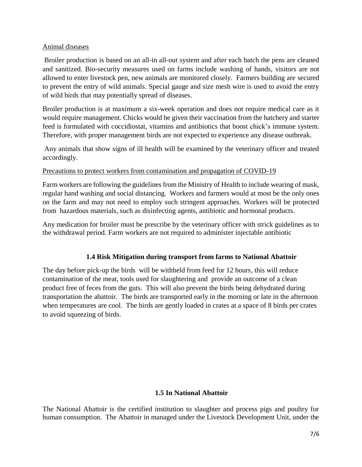#### Animal diseases

Broiler production is based on an all-in all-out system and after each batch the pens are cleaned and sanitized. Bio-security measures used on farms include washing of hands, visitors are not allowed to enter livestock pen, new animals are monitored closely. Farmers building are secured to prevent the entry of wild animals. Special gauge and size mesh wire is used to avoid the entry of wild birds that may potentially spread of diseases.

Broiler production is at maximum a six-week operation and does not require medical care as it would require management. Chicks would be given their vaccination from the hatchery and starter feed is formulated with coccidiostat, vitamins and antibiotics that boost chick's immune system. Therefore, with proper management birds are not expected to experience any disease outbreak.

Any animals that show signs of ill health will be examined by the veterinary officer and treated accordingly.

#### Precautions to protect workers from contamination and propagation of COVID-19

Farm workers are following the guidelines from the Ministry of Health to include wearing of mask, regular hand washing and social distancing. Workers and farmers would at most be the only ones on the farm and may not need to employ such stringent approaches. Workers will be protected from hazardous materials, such as disinfecting agents, antibiotic and hormonal products.

Any medication for broiler must be prescribe by the veterinary officer with strick guidelines as to the withdrawal period. Farm workers are not required to administer injectable antibiotic

#### **1.4 Risk Mitigation during transport from farms to National Abattoir**

The day before pick-up the birds will be withheld from feed for 12 hours, this will reduce contamination of the meat, tools used for slaughtering and provide an outcome of a clean product free of feces from the guts. This will also prevent the birds being dehydrated during transportation the abattoir. The birds are transported early in the morning or late in the afternoon when temperatures are cool. The birds are gently loaded in crates at a space of 8 birds per crates to avoid squeezing of birds.

#### **1.5 In National Abattoir**

The National Abattoir is the certified institution to slaughter and process pigs and poultry for human consumption. The Abattoir in managed under the Livestock Development Unit, under the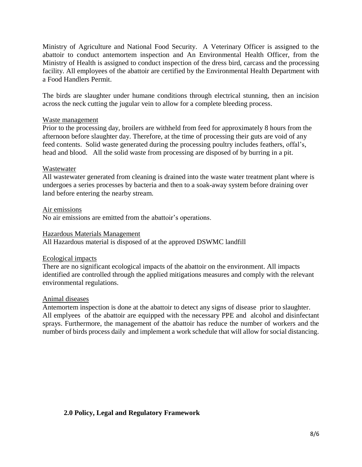Ministry of Agriculture and National Food Security. A Veterinary Officer is assigned to the abattoir to conduct antemortem inspection and An Environmental Health Officer, from the Ministry of Health is assigned to conduct inspection of the dress bird, carcass and the processing facility. All employees of the abattoir are certified by the Environmental Health Department with a Food Handlers Permit.

The birds are slaughter under humane conditions through electrical stunning, then an incision across the neck cutting the jugular vein to allow for a complete bleeding process.

#### Waste management

Prior to the processing day, broilers are withheld from feed for approximately 8 hours from the afternoon before slaughter day. Therefore, at the time of processing their guts are void of any feed contents. Solid waste generated during the processing poultry includes feathers, offal's, head and blood. All the solid waste from processing are disposed of by burring in a pit.

#### Wastewater

All wastewater generated from cleaning is drained into the waste water treatment plant where is undergoes a series processes by bacteria and then to a soak-away system before draining over land before entering the nearby stream.

#### Air emissions

No air emissions are emitted from the abattoir's operations.

#### Hazardous Materials Management

All Hazardous material is disposed of at the approved DSWMC landfill

#### Ecological impacts

There are no significant ecological impacts of the abattoir on the environment. All impacts identified are controlled through the applied mitigations measures and comply with the relevant environmental regulations.

#### Animal diseases

Antemortem inspection is done at the abattoir to detect any signs of disease prior to slaughter. All emplyees of the abattoir are equipped with the necessary PPE and alcohol and disinfectant sprays. Furthermore, the management of the abattoir has reduce the number of workers and the number of birds process daily and implement a work schedule that will allow for social distancing.

#### **2.0 Policy, Legal and Regulatory Framework**